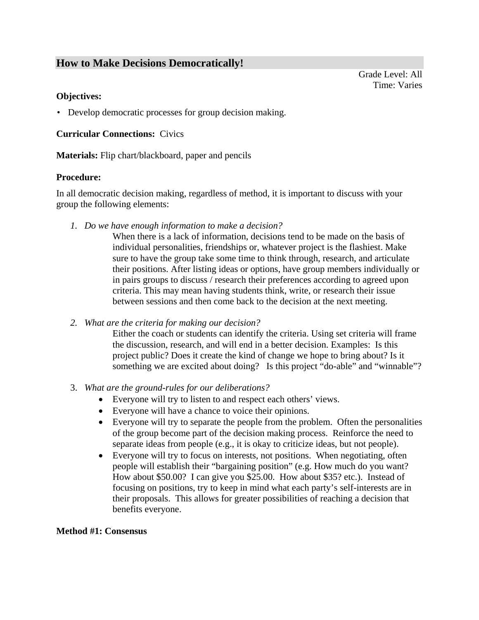# **How to Make Decisions Democratically!**

Grade Level: All Time: Varies

#### **Objectives:**

• Develop democratic processes for group decision making.

#### **Curricular Connections:** Civics

**Materials:** Flip chart/blackboard, paper and pencils

#### **Procedure:**

In all democratic decision making, regardless of method, it is important to discuss with your group the following elements:

*1. Do we have enough information to make a decision?* 

When there is a lack of information, decisions tend to be made on the basis of individual personalities, friendships or, whatever project is the flashiest. Make sure to have the group take some time to think through, research, and articulate their positions. After listing ideas or options, have group members individually or in pairs groups to discuss / research their preferences according to agreed upon criteria. This may mean having students think, write, or research their issue between sessions and then come back to the decision at the next meeting.

*2. What are the criteria for making our decision?* 

Either the coach or students can identify the criteria. Using set criteria will frame the discussion, research, and will end in a better decision. Examples: Is this project public? Does it create the kind of change we hope to bring about? Is it something we are excited about doing? Is this project "do-able" and "winnable"?

- 3. *What are the ground-rules for our deliberations?*
	- Everyone will try to listen to and respect each others' views.
	- Everyone will have a chance to voice their opinions.
	- Everyone will try to separate the people from the problem. Often the personalities of the group become part of the decision making process. Reinforce the need to separate ideas from people (e.g., it is okay to criticize ideas, but not people).
	- Everyone will try to focus on interests, not positions. When negotiating, often people will establish their "bargaining position" (e.g. How much do you want? How about \$50.00? I can give you \$25.00. How about \$35? etc.). Instead of focusing on positions, try to keep in mind what each party's self-interests are in their proposals. This allows for greater possibilities of reaching a decision that benefits everyone.

#### **Method #1: Consensus**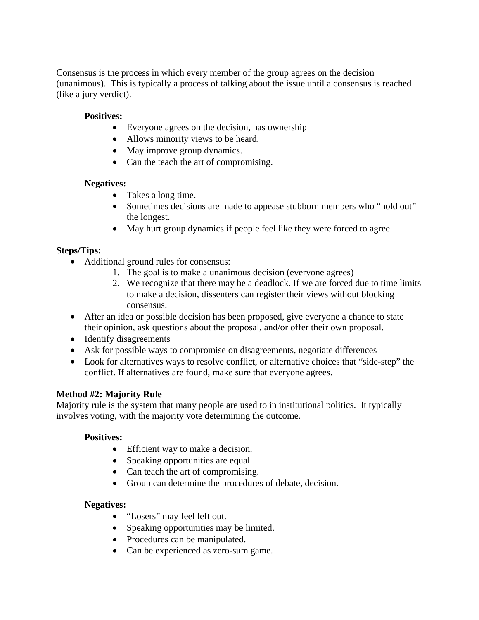Consensus is the process in which every member of the group agrees on the decision (unanimous). This is typically a process of talking about the issue until a consensus is reached (like a jury verdict).

# **Positives:**

- Everyone agrees on the decision, has ownership
- Allows minority views to be heard.
- May improve group dynamics.
- Can the teach the art of compromising.

### **Negatives:**

- Takes a long time.
- Sometimes decisions are made to appease stubborn members who "hold out" the longest.
- May hurt group dynamics if people feel like they were forced to agree.

# **Steps/Tips:**

- Additional ground rules for consensus:
	- 1. The goal is to make a unanimous decision (everyone agrees)
	- 2. We recognize that there may be a deadlock. If we are forced due to time limits to make a decision, dissenters can register their views without blocking consensus.
- After an idea or possible decision has been proposed, give everyone a chance to state their opinion, ask questions about the proposal, and/or offer their own proposal.
- Identify disagreements
- Ask for possible ways to compromise on disagreements, negotiate differences
- Look for alternatives ways to resolve conflict, or alternative choices that "side-step" the conflict. If alternatives are found, make sure that everyone agrees.

### **Method #2: Majority Rule**

Majority rule is the system that many people are used to in institutional politics. It typically involves voting, with the majority vote determining the outcome.

### **Positives:**

- Efficient way to make a decision.
- Speaking opportunities are equal.
- Can teach the art of compromising.
- Group can determine the procedures of debate, decision.

### **Negatives:**

- "Losers" may feel left out.
- Speaking opportunities may be limited.
- Procedures can be manipulated.
- Can be experienced as zero-sum game.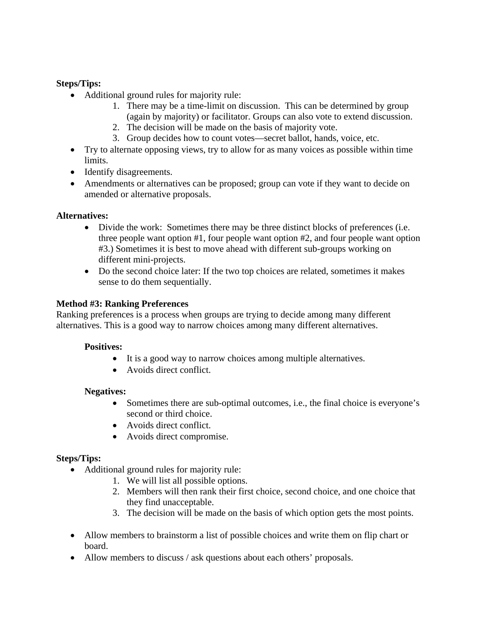# **Steps/Tips:**

- Additional ground rules for majority rule:
	- 1. There may be a time-limit on discussion. This can be determined by group (again by majority) or facilitator. Groups can also vote to extend discussion.
	- 2. The decision will be made on the basis of majority vote.
	- 3. Group decides how to count votes—secret ballot, hands, voice, etc.
- Try to alternate opposing views, try to allow for as many voices as possible within time limits.
- Identify disagreements.
- Amendments or alternatives can be proposed; group can vote if they want to decide on amended or alternative proposals.

### **Alternatives:**

- Divide the work: Sometimes there may be three distinct blocks of preferences (i.e. three people want option #1, four people want option #2, and four people want option #3.) Sometimes it is best to move ahead with different sub-groups working on different mini-projects.
- Do the second choice later: If the two top choices are related, sometimes it makes sense to do them sequentially.

### **Method #3: Ranking Preferences**

Ranking preferences is a process when groups are trying to decide among many different alternatives. This is a good way to narrow choices among many different alternatives.

#### **Positives:**

- It is a good way to narrow choices among multiple alternatives.
- Avoids direct conflict.

### **Negatives:**

- Sometimes there are sub-optimal outcomes, i.e., the final choice is everyone's second or third choice.
- Avoids direct conflict.
- Avoids direct compromise.

### **Steps/Tips:**

- Additional ground rules for majority rule:
	- 1. We will list all possible options.
	- 2. Members will then rank their first choice, second choice, and one choice that they find unacceptable.
	- 3. The decision will be made on the basis of which option gets the most points.
- Allow members to brainstorm a list of possible choices and write them on flip chart or board.
- Allow members to discuss / ask questions about each others' proposals.